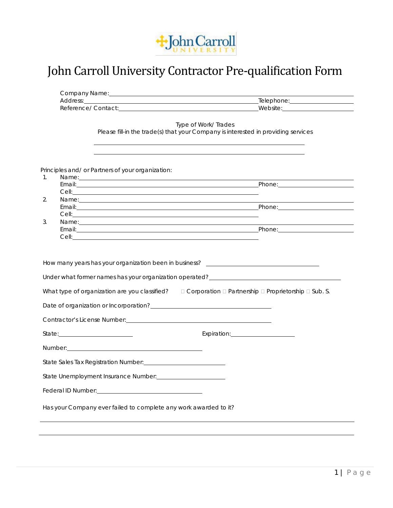

## John Carroll University Contractor Pre-qualification Form

| Type of Work/Trades<br>Please fill-in the trade(s) that your Company is interested in providing services<br>and the control of the control of the control of the control of the control of the control of the control of the<br>and the control of the control of the control of the control of the control of the control of the control of the<br>Principles and/ or Partners of your organization:<br>Name: Name: Name: Name: Name: Name: Name: Name: Name: Name: Name: Name: Name: Name: Name: Name: Name: Name: Name: Name: Name: Name: Name: Name: Name: Name: Name: Name: Name: Name: Name: Name: Name: Name: Name: Name: Name:<br>1.<br>Email: Phone: Phone: Phone: Phone: Phone: Phone: Phone: Phone: Phone: Phone: Phone: Phone: Phone: Phone: Phone: Phone: Phone: Phone: Phone: Phone: Phone: Phone: Phone: Phone: Phone: Phone: Phone: Phone: Phone: Phone: Phone<br>2.<br>Name: <u>experience</u> and a series of the series of the series of the series of the series of the series of the series of the series of the series of the series of the series of the series of the series of the series of the s<br>3.<br>Name: Name: Name: Name: Name: Name: Name: Name: Name: Name: Name: Name: Name: Name: Name: Name: Name: Name: Name: Name: Name: Name: Name: Name: Name: Name: Name: Name: Name: Name: Name: Name: Name: Name: Name: Name: Name:<br><u> 1989 - Andrea Stadt Britain, amerikansk politiker (d. 1989)</u><br>How many years has your organization been in business? _________________________<br>What type of organization are you classified? $\square$ Corporation $\square$ Partnership $\square$ Proprietorship $\square$ Sub. S.<br>Date of organization or Incorporation?<br><u>Date of organization or Incorporation?</u><br>State Unemployment Insurance Number:<br>Federal ID Number: <u>Cambridge Communication</u><br>Has your Company ever failed to complete any work awarded to it? |  |  |
|-----------------------------------------------------------------------------------------------------------------------------------------------------------------------------------------------------------------------------------------------------------------------------------------------------------------------------------------------------------------------------------------------------------------------------------------------------------------------------------------------------------------------------------------------------------------------------------------------------------------------------------------------------------------------------------------------------------------------------------------------------------------------------------------------------------------------------------------------------------------------------------------------------------------------------------------------------------------------------------------------------------------------------------------------------------------------------------------------------------------------------------------------------------------------------------------------------------------------------------------------------------------------------------------------------------------------------------------------------------------------------------------------------------------------------------------------------------------------------------------------------------------------------------------------------------------------------------------------------------------------------------------------------------------------------------------------------------------------------------------------------------------------------------------------------------------------------------------------------------------------------------------------------------------------------------|--|--|
|                                                                                                                                                                                                                                                                                                                                                                                                                                                                                                                                                                                                                                                                                                                                                                                                                                                                                                                                                                                                                                                                                                                                                                                                                                                                                                                                                                                                                                                                                                                                                                                                                                                                                                                                                                                                                                                                                                                                   |  |  |
|                                                                                                                                                                                                                                                                                                                                                                                                                                                                                                                                                                                                                                                                                                                                                                                                                                                                                                                                                                                                                                                                                                                                                                                                                                                                                                                                                                                                                                                                                                                                                                                                                                                                                                                                                                                                                                                                                                                                   |  |  |
|                                                                                                                                                                                                                                                                                                                                                                                                                                                                                                                                                                                                                                                                                                                                                                                                                                                                                                                                                                                                                                                                                                                                                                                                                                                                                                                                                                                                                                                                                                                                                                                                                                                                                                                                                                                                                                                                                                                                   |  |  |
|                                                                                                                                                                                                                                                                                                                                                                                                                                                                                                                                                                                                                                                                                                                                                                                                                                                                                                                                                                                                                                                                                                                                                                                                                                                                                                                                                                                                                                                                                                                                                                                                                                                                                                                                                                                                                                                                                                                                   |  |  |
|                                                                                                                                                                                                                                                                                                                                                                                                                                                                                                                                                                                                                                                                                                                                                                                                                                                                                                                                                                                                                                                                                                                                                                                                                                                                                                                                                                                                                                                                                                                                                                                                                                                                                                                                                                                                                                                                                                                                   |  |  |
|                                                                                                                                                                                                                                                                                                                                                                                                                                                                                                                                                                                                                                                                                                                                                                                                                                                                                                                                                                                                                                                                                                                                                                                                                                                                                                                                                                                                                                                                                                                                                                                                                                                                                                                                                                                                                                                                                                                                   |  |  |
|                                                                                                                                                                                                                                                                                                                                                                                                                                                                                                                                                                                                                                                                                                                                                                                                                                                                                                                                                                                                                                                                                                                                                                                                                                                                                                                                                                                                                                                                                                                                                                                                                                                                                                                                                                                                                                                                                                                                   |  |  |
|                                                                                                                                                                                                                                                                                                                                                                                                                                                                                                                                                                                                                                                                                                                                                                                                                                                                                                                                                                                                                                                                                                                                                                                                                                                                                                                                                                                                                                                                                                                                                                                                                                                                                                                                                                                                                                                                                                                                   |  |  |
|                                                                                                                                                                                                                                                                                                                                                                                                                                                                                                                                                                                                                                                                                                                                                                                                                                                                                                                                                                                                                                                                                                                                                                                                                                                                                                                                                                                                                                                                                                                                                                                                                                                                                                                                                                                                                                                                                                                                   |  |  |
|                                                                                                                                                                                                                                                                                                                                                                                                                                                                                                                                                                                                                                                                                                                                                                                                                                                                                                                                                                                                                                                                                                                                                                                                                                                                                                                                                                                                                                                                                                                                                                                                                                                                                                                                                                                                                                                                                                                                   |  |  |
|                                                                                                                                                                                                                                                                                                                                                                                                                                                                                                                                                                                                                                                                                                                                                                                                                                                                                                                                                                                                                                                                                                                                                                                                                                                                                                                                                                                                                                                                                                                                                                                                                                                                                                                                                                                                                                                                                                                                   |  |  |
|                                                                                                                                                                                                                                                                                                                                                                                                                                                                                                                                                                                                                                                                                                                                                                                                                                                                                                                                                                                                                                                                                                                                                                                                                                                                                                                                                                                                                                                                                                                                                                                                                                                                                                                                                                                                                                                                                                                                   |  |  |
|                                                                                                                                                                                                                                                                                                                                                                                                                                                                                                                                                                                                                                                                                                                                                                                                                                                                                                                                                                                                                                                                                                                                                                                                                                                                                                                                                                                                                                                                                                                                                                                                                                                                                                                                                                                                                                                                                                                                   |  |  |
|                                                                                                                                                                                                                                                                                                                                                                                                                                                                                                                                                                                                                                                                                                                                                                                                                                                                                                                                                                                                                                                                                                                                                                                                                                                                                                                                                                                                                                                                                                                                                                                                                                                                                                                                                                                                                                                                                                                                   |  |  |
|                                                                                                                                                                                                                                                                                                                                                                                                                                                                                                                                                                                                                                                                                                                                                                                                                                                                                                                                                                                                                                                                                                                                                                                                                                                                                                                                                                                                                                                                                                                                                                                                                                                                                                                                                                                                                                                                                                                                   |  |  |
|                                                                                                                                                                                                                                                                                                                                                                                                                                                                                                                                                                                                                                                                                                                                                                                                                                                                                                                                                                                                                                                                                                                                                                                                                                                                                                                                                                                                                                                                                                                                                                                                                                                                                                                                                                                                                                                                                                                                   |  |  |
|                                                                                                                                                                                                                                                                                                                                                                                                                                                                                                                                                                                                                                                                                                                                                                                                                                                                                                                                                                                                                                                                                                                                                                                                                                                                                                                                                                                                                                                                                                                                                                                                                                                                                                                                                                                                                                                                                                                                   |  |  |
|                                                                                                                                                                                                                                                                                                                                                                                                                                                                                                                                                                                                                                                                                                                                                                                                                                                                                                                                                                                                                                                                                                                                                                                                                                                                                                                                                                                                                                                                                                                                                                                                                                                                                                                                                                                                                                                                                                                                   |  |  |
|                                                                                                                                                                                                                                                                                                                                                                                                                                                                                                                                                                                                                                                                                                                                                                                                                                                                                                                                                                                                                                                                                                                                                                                                                                                                                                                                                                                                                                                                                                                                                                                                                                                                                                                                                                                                                                                                                                                                   |  |  |
|                                                                                                                                                                                                                                                                                                                                                                                                                                                                                                                                                                                                                                                                                                                                                                                                                                                                                                                                                                                                                                                                                                                                                                                                                                                                                                                                                                                                                                                                                                                                                                                                                                                                                                                                                                                                                                                                                                                                   |  |  |
|                                                                                                                                                                                                                                                                                                                                                                                                                                                                                                                                                                                                                                                                                                                                                                                                                                                                                                                                                                                                                                                                                                                                                                                                                                                                                                                                                                                                                                                                                                                                                                                                                                                                                                                                                                                                                                                                                                                                   |  |  |
|                                                                                                                                                                                                                                                                                                                                                                                                                                                                                                                                                                                                                                                                                                                                                                                                                                                                                                                                                                                                                                                                                                                                                                                                                                                                                                                                                                                                                                                                                                                                                                                                                                                                                                                                                                                                                                                                                                                                   |  |  |
|                                                                                                                                                                                                                                                                                                                                                                                                                                                                                                                                                                                                                                                                                                                                                                                                                                                                                                                                                                                                                                                                                                                                                                                                                                                                                                                                                                                                                                                                                                                                                                                                                                                                                                                                                                                                                                                                                                                                   |  |  |
|                                                                                                                                                                                                                                                                                                                                                                                                                                                                                                                                                                                                                                                                                                                                                                                                                                                                                                                                                                                                                                                                                                                                                                                                                                                                                                                                                                                                                                                                                                                                                                                                                                                                                                                                                                                                                                                                                                                                   |  |  |
|                                                                                                                                                                                                                                                                                                                                                                                                                                                                                                                                                                                                                                                                                                                                                                                                                                                                                                                                                                                                                                                                                                                                                                                                                                                                                                                                                                                                                                                                                                                                                                                                                                                                                                                                                                                                                                                                                                                                   |  |  |
|                                                                                                                                                                                                                                                                                                                                                                                                                                                                                                                                                                                                                                                                                                                                                                                                                                                                                                                                                                                                                                                                                                                                                                                                                                                                                                                                                                                                                                                                                                                                                                                                                                                                                                                                                                                                                                                                                                                                   |  |  |
|                                                                                                                                                                                                                                                                                                                                                                                                                                                                                                                                                                                                                                                                                                                                                                                                                                                                                                                                                                                                                                                                                                                                                                                                                                                                                                                                                                                                                                                                                                                                                                                                                                                                                                                                                                                                                                                                                                                                   |  |  |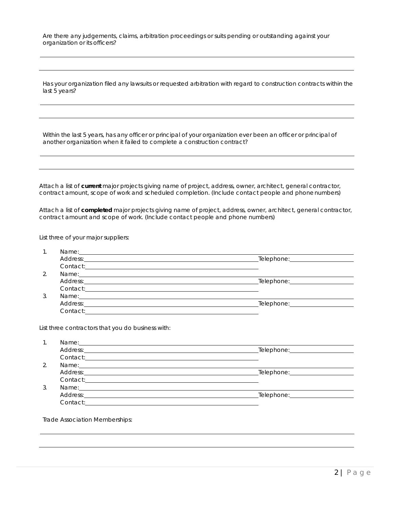Are there any judgements, claims, arbitration proceedings or suits pending or outstanding against your organization or its officers?

Has your organization filed any lawsuits or requested arbitration with regard to construction contracts within the last 5 years?

Within the last 5 years, has any officer or principal of your organization ever been an officer or principal of another organization when it failed to complete a construction contract?

Attach a list of **current** major projects giving name of project, address, owner, architect, general contractor, contract amount, scope of work and scheduled completion. (Include contact people and phonenumbers)

Attach a list of **completed** major projects giving name of project, address, owner, architect, general contractor, contract amount and scope of work. (Include contact people and phone numbers)

List three of your major suppliers:

| $\overline{2}$ .<br>$\mathcal{R}$ | Address: Address: Address: Address: Address: Address: Address: Address: Address: Address: Address: A<br>Name: Name: Name: Name: Name: Name: Name: Name: Name: Name: Name: Name: Name: Name: Name: Name: Name: Name: Name: Name: Name: Name: Name: Name: Name: Name: Name: Name: Name: Name: Name: Name: Name: Name: Name: Name: Name:<br>Address: The Contract of the Contract of the Contract of the Contract of Telephone: Telephone: Telephone:<br>Contact: <u>Contact:</u> |                                 |  |
|-----------------------------------|--------------------------------------------------------------------------------------------------------------------------------------------------------------------------------------------------------------------------------------------------------------------------------------------------------------------------------------------------------------------------------------------------------------------------------------------------------------------------------|---------------------------------|--|
|                                   |                                                                                                                                                                                                                                                                                                                                                                                                                                                                                |                                 |  |
|                                   |                                                                                                                                                                                                                                                                                                                                                                                                                                                                                |                                 |  |
|                                   |                                                                                                                                                                                                                                                                                                                                                                                                                                                                                |                                 |  |
|                                   |                                                                                                                                                                                                                                                                                                                                                                                                                                                                                |                                 |  |
|                                   |                                                                                                                                                                                                                                                                                                                                                                                                                                                                                |                                 |  |
|                                   | Name: Name: Name: Name: Name: Name: Name: Name: Name: Name: Name: Name: Name: Name: Name: Name: Name: Name: Name: Name: Name: Name: Name: Name: Name: Name: Name: Name: Name: Name: Name: Name: Name: Name: Name: Name: Name:                                                                                                                                                                                                                                                  |                                 |  |
|                                   |                                                                                                                                                                                                                                                                                                                                                                                                                                                                                |                                 |  |
|                                   | Contact: Contact: Contact: Contact: Contact: Contact: Contact: Contact: Contact: Contact: Contact: Contact: Contact: Contact: Contact: Contact: Contact: Contact: Contact: Contact: Contact: Contact: Contact: Contact: Contac                                                                                                                                                                                                                                                 |                                 |  |
|                                   |                                                                                                                                                                                                                                                                                                                                                                                                                                                                                |                                 |  |
|                                   | List three contractors that you do business with:                                                                                                                                                                                                                                                                                                                                                                                                                              |                                 |  |
| $\mathbf{1}$                      |                                                                                                                                                                                                                                                                                                                                                                                                                                                                                |                                 |  |
|                                   | Address: The Contract of the Contract of the Contract of the Contract of Telephone: Telephone: Telephone:                                                                                                                                                                                                                                                                                                                                                                      |                                 |  |
|                                   | Contact: contact:                                                                                                                                                                                                                                                                                                                                                                                                                                                              |                                 |  |
| $\mathcal{D}_{\mathcal{L}}$       | Name: Name: Name: Name: Name: Name: Name: Name: Name: Name: Name: Name: Name: Name: Name: Name: Name: Name: Name: Name: Name: Name: Name: Name: Name: Name: Name: Name: Name: Name: Name: Name: Name: Name: Name: Name: Name:                                                                                                                                                                                                                                                  |                                 |  |
|                                   | Address: 2008 Committee and Committee and Committee and Committee and Committee and Committee and Committee and Committee and Committee and Committee and Committee and Committee and Committee and Committee and Committee an                                                                                                                                                                                                                                                 | _Telephone:____________________ |  |
|                                   |                                                                                                                                                                                                                                                                                                                                                                                                                                                                                |                                 |  |
|                                   |                                                                                                                                                                                                                                                                                                                                                                                                                                                                                |                                 |  |
|                                   |                                                                                                                                                                                                                                                                                                                                                                                                                                                                                |                                 |  |
|                                   |                                                                                                                                                                                                                                                                                                                                                                                                                                                                                |                                 |  |
| $\mathcal{S}$                     | Name: Name: Name: Name: Name: Name: Name: Name: Name: Name: Name: Name: Name: Name: Name: Name: Name: Name: Name: Name: Name: Name: Name: Name: Name: Name: Name: Name: Name: Name: Name: Name: Name: Name: Name: Name: Name:                                                                                                                                                                                                                                                  |                                 |  |
|                                   | Trade Association Memberships:                                                                                                                                                                                                                                                                                                                                                                                                                                                 |                                 |  |
|                                   |                                                                                                                                                                                                                                                                                                                                                                                                                                                                                |                                 |  |